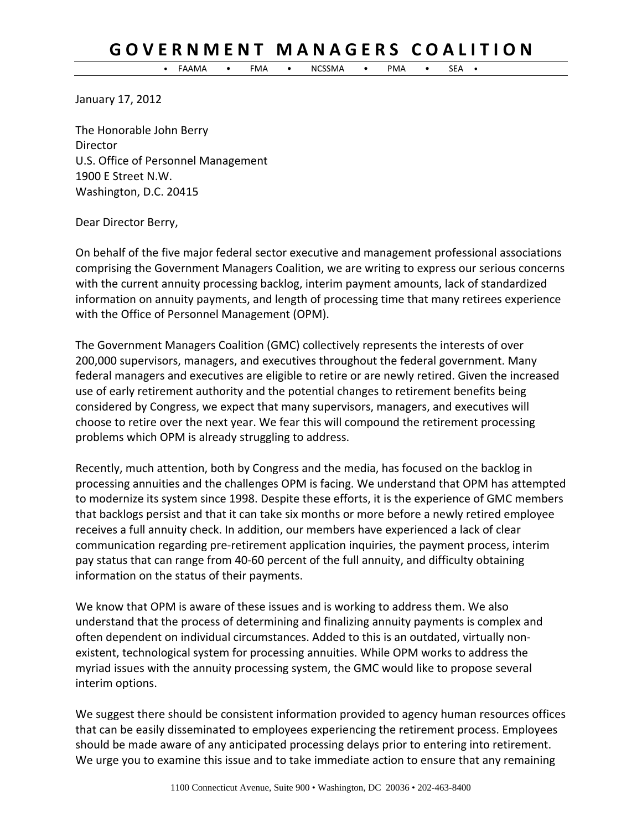## GOVERNMENT MANAGERS COALITION

• FAAMA • FMA • NCSSMA • PMA • SEA •

January 17, 2012

The Honorable John Berry **Director** U.S. Office of Personnel Management 1900 E Street N.W. Washington, D.C. 20415

Dear Director Berry,

On behalf of the five major federal sector executive and management professional associations comprising the Government Managers Coalition, we are writing to express our serious concerns with the current annuity processing backlog, interim payment amounts, lack of standardized information on annuity payments, and length of processing time that many retirees experience with the Office of Personnel Management (OPM).

The Government Managers Coalition (GMC) collectively represents the interests of over 200,000 supervisors, managers, and executives throughout the federal government. Many federal managers and executives are eligible to retire or are newly retired. Given the increased use of early retirement authority and the potential changes to retirement benefits being considered by Congress, we expect that many supervisors, managers, and executives will choose to retire over the next year. We fear this will compound the retirement processing problems which OPM is already struggling to address.

Recently, much attention, both by Congress and the media, has focused on the backlog in processing annuities and the challenges OPM is facing. We understand that OPM has attempted to modernize its system since 1998. Despite these efforts, it is the experience of GMC members that backlogs persist and that it can take six months or more before a newly retired employee receives a full annuity check. In addition, our members have experienced a lack of clear communication regarding pre‐retirement application inquiries, the payment process, interim pay status that can range from 40‐60 percent of the full annuity, and difficulty obtaining information on the status of their payments.

We know that OPM is aware of these issues and is working to address them. We also understand that the process of determining and finalizing annuity payments is complex and often dependent on individual circumstances. Added to this is an outdated, virtually non‐ existent, technological system for processing annuities. While OPM works to address the myriad issues with the annuity processing system, the GMC would like to propose several interim options.

We suggest there should be consistent information provided to agency human resources offices that can be easily disseminated to employees experiencing the retirement process. Employees should be made aware of any anticipated processing delays prior to entering into retirement. We urge you to examine this issue and to take immediate action to ensure that any remaining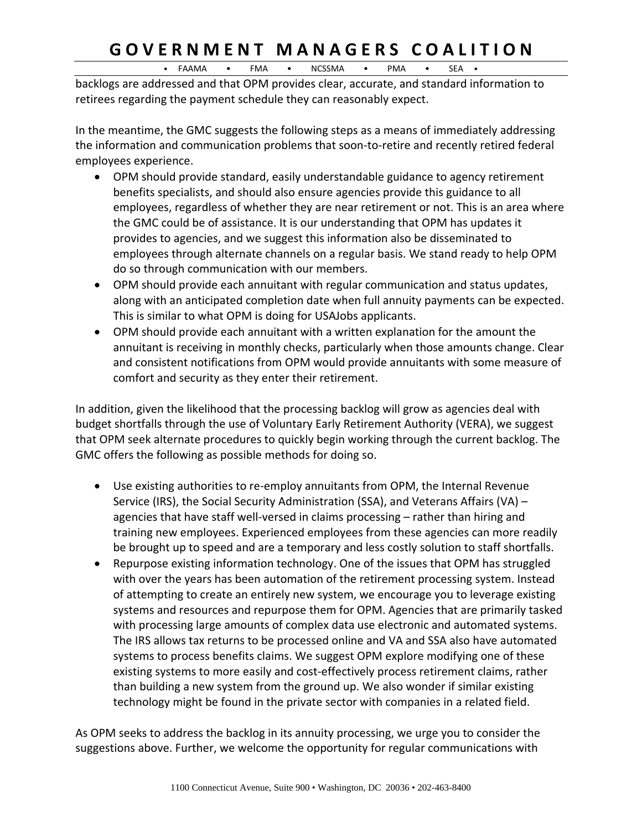## GOVERNMENT MANAGERS COALITION

• FAAMA • FMA • NCSSMA • PMA • SEA •

backlogs are addressed and that OPM provides clear, accurate, and standard information to retirees regarding the payment schedule they can reasonably expect.

In the meantime, the GMC suggests the following steps as a means of immediately addressing the information and communication problems that soon‐to‐retire and recently retired federal employees experience.

- OPM should provide standard, easily understandable guidance to agency retirement benefits specialists, and should also ensure agencies provide this guidance to all employees, regardless of whether they are near retirement or not. This is an area where the GMC could be of assistance. It is our understanding that OPM has updates it provides to agencies, and we suggest this information also be disseminated to employees through alternate channels on a regular basis. We stand ready to help OPM do so through communication with our members.
- OPM should provide each annuitant with regular communication and status updates, along with an anticipated completion date when full annuity payments can be expected. This is similar to what OPM is doing for USAJobs applicants.
- OPM should provide each annuitant with a written explanation for the amount the annuitant is receiving in monthly checks, particularly when those amounts change. Clear and consistent notifications from OPM would provide annuitants with some measure of comfort and security as they enter their retirement.

In addition, given the likelihood that the processing backlog will grow as agencies deal with budget shortfalls through the use of Voluntary Early Retirement Authority (VERA), we suggest that OPM seek alternate procedures to quickly begin working through the current backlog. The GMC offers the following as possible methods for doing so.

- Use existing authorities to re-employ annuitants from OPM, the Internal Revenue Service (IRS), the Social Security Administration (SSA), and Veterans Affairs (VA) – agencies that have staff well-versed in claims processing – rather than hiring and training new employees. Experienced employees from these agencies can more readily be brought up to speed and are a temporary and less costly solution to staff shortfalls.
- Repurpose existing information technology. One of the issues that OPM has struggled with over the years has been automation of the retirement processing system. Instead of attempting to create an entirely new system, we encourage you to leverage existing systems and resources and repurpose them for OPM. Agencies that are primarily tasked with processing large amounts of complex data use electronic and automated systems. The IRS allows tax returns to be processed online and VA and SSA also have automated systems to process benefits claims. We suggest OPM explore modifying one of these existing systems to more easily and cost-effectively process retirement claims, rather than building a new system from the ground up. We also wonder if similar existing technology might be found in the private sector with companies in a related field.

As OPM seeks to address the backlog in its annuity processing, we urge you to consider the suggestions above. Further, we welcome the opportunity for regular communications with